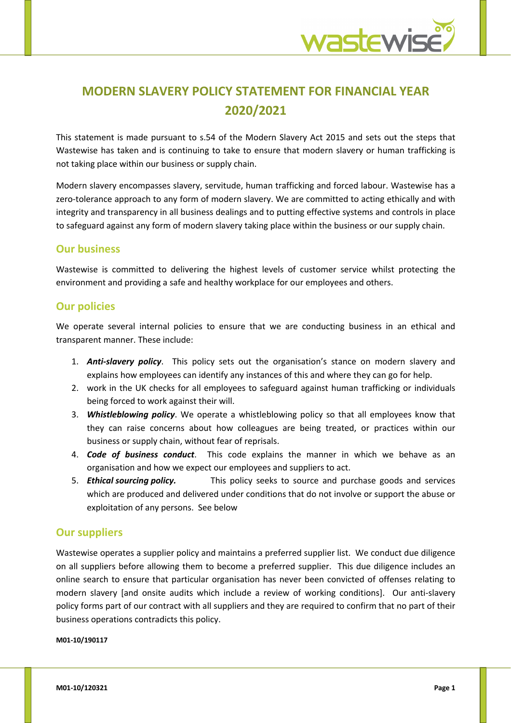

# **MODERN SLAVERY POLICY STATEMENT FOR FINANCIAL YEAR 2020/2021**

This statement is made pursuant to s.54 of the Modern Slavery Act 2015 and sets out the steps that Wastewise has taken and is continuing to take to ensure that modern slavery or human trafficking is not taking place within our business or supply chain.

Modern slavery encompasses slavery, servitude, human trafficking and forced labour. Wastewise has a zero-tolerance approach to any form of modern slavery. We are committed to acting ethically and with integrity and transparency in all business dealings and to putting effective systems and controls in place to safeguard against any form of modern slavery taking place within the business or our supply chain.

#### **Our business**

Wastewise is committed to delivering the highest levels of customer service whilst protecting the environment and providing a safe and healthy workplace for our employees and others.

#### **Our policies**

We operate several internal policies to ensure that we are conducting business in an ethical and transparent manner. These include:

- 1. *Anti-slavery policy*. This policy sets out the organisation's stance on modern slavery and explains how employees can identify any instances of this and where they can go for help.
- 2. work in the UK checks for all employees to safeguard against human trafficking or individuals being forced to work against their will.
- 3. *Whistleblowing policy*. We operate a whistleblowing policy so that all employees know that they can raise concerns about how colleagues are being treated, or practices within our business or supply chain, without fear of reprisals.
- 4. *Code of business conduct*. This code explains the manner in which we behave as an organisation and how we expect our employees and suppliers to act.
- 5. *Ethical sourcing policy.* This policy seeks to source and purchase goods and services which are produced and delivered under conditions that do not involve or support the abuse or exploitation of any persons. See below

#### **Our suppliers**

Wastewise operates a supplier policy and maintains a preferred supplier list. We conduct due diligence on all suppliers before allowing them to become a preferred supplier. This due diligence includes an online search to ensure that particular organisation has never been convicted of offenses relating to modern slavery [and onsite audits which include a review of working conditions]. Our anti-slavery policy forms part of our contract with all suppliers and they are required to confirm that no part of their business operations contradicts this policy.

**M01-10/190117**